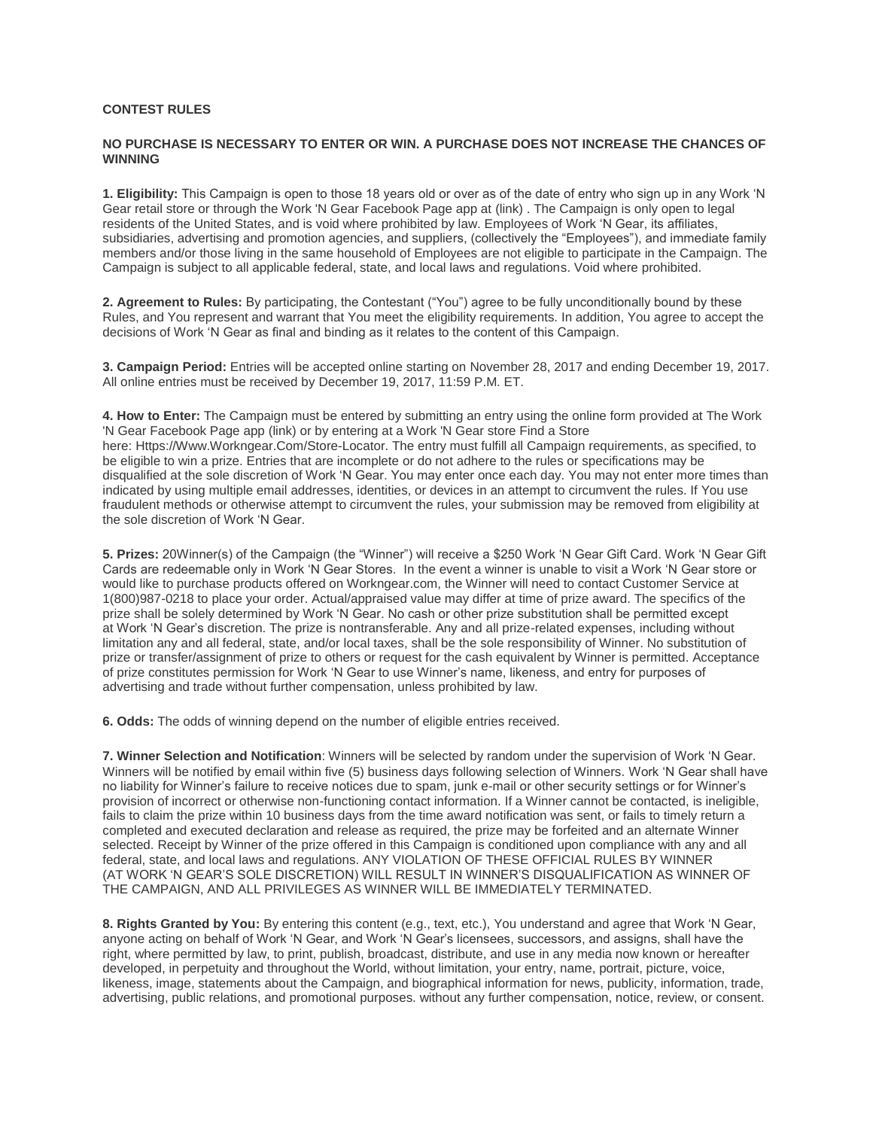## **CONTEST RULES**

## **NO PURCHASE IS NECESSARY TO ENTER OR WIN. A PURCHASE DOES NOT INCREASE THE CHANCES OF WINNING**

**1. Eligibility:** This Campaign is open to those 18 years old or over as of the date of entry who sign up in any Work 'N Gear retail store or through the Work 'N Gear Facebook Page app at (link) . The Campaign is only open to legal residents of the United States, and is void where prohibited by law. Employees of Work 'N Gear, its affiliates, subsidiaries, advertising and promotion agencies, and suppliers, (collectively the "Employees"), and immediate family members and/or those living in the same household of Employees are not eligible to participate in the Campaign. The Campaign is subject to all applicable federal, state, and local laws and regulations. Void where prohibited.

**2. Agreement to Rules:** By participating, the Contestant ("You") agree to be fully unconditionally bound by these Rules, and You represent and warrant that You meet the eligibility requirements. In addition, You agree to accept the decisions of Work 'N Gear as final and binding as it relates to the content of this Campaign.

**3. Campaign Period:** Entries will be accepted online starting on November 28, 2017 and ending December 19, 2017. All online entries must be received by December 19, 2017, 11:59 P.M. ET.

**4. How to Enter:** The Campaign must be entered by submitting an entry using the online form provided at The Work 'N Gear Facebook Page app (link) or by entering at a Work 'N Gear store Find a Store here: Https://Www.Workngear.Com/Store-Locator. The entry must fulfill all Campaign requirements, as specified, to be eligible to win a prize. Entries that are incomplete or do not adhere to the rules or specifications may be disqualified at the sole discretion of Work 'N Gear. You may enter once each day. You may not enter more times than indicated by using multiple email addresses, identities, or devices in an attempt to circumvent the rules. If You use fraudulent methods or otherwise attempt to circumvent the rules, your submission may be removed from eligibility at the sole discretion of Work 'N Gear.

**5. Prizes:** 20Winner(s) of the Campaign (the "Winner") will receive a \$250 Work 'N Gear Gift Card. Work 'N Gear Gift Cards are redeemable only in Work 'N Gear Stores. In the event a winner is unable to visit a Work 'N Gear store or would like to purchase products offered on Workngear.com, the Winner will need to contact Customer Service at 1(800)987-0218 to place your order. Actual/appraised value may differ at time of prize award. The specifics of the prize shall be solely determined by Work 'N Gear. No cash or other prize substitution shall be permitted except at Work 'N Gear's discretion. The prize is nontransferable. Any and all prize-related expenses, including without limitation any and all federal, state, and/or local taxes, shall be the sole responsibility of Winner. No substitution of prize or transfer/assignment of prize to others or request for the cash equivalent by Winner is permitted. Acceptance of prize constitutes permission for Work 'N Gear to use Winner's name, likeness, and entry for purposes of advertising and trade without further compensation, unless prohibited by law.

**6. Odds:** The odds of winning depend on the number of eligible entries received.

**7. Winner Selection and Notification**: Winners will be selected by random under the supervision of Work 'N Gear. Winners will be notified by email within five (5) business days following selection of Winners. Work 'N Gear shall have no liability for Winner's failure to receive notices due to spam, junk e-mail or other security settings or for Winner's provision of incorrect or otherwise non-functioning contact information. If a Winner cannot be contacted, is ineligible, fails to claim the prize within 10 business days from the time award notification was sent, or fails to timely return a completed and executed declaration and release as required, the prize may be forfeited and an alternate Winner selected. Receipt by Winner of the prize offered in this Campaign is conditioned upon compliance with any and all federal, state, and local laws and regulations. ANY VIOLATION OF THESE OFFICIAL RULES BY WINNER (AT WORK 'N GEAR'S SOLE DISCRETION) WILL RESULT IN WINNER'S DISQUALIFICATION AS WINNER OF THE CAMPAIGN, AND ALL PRIVILEGES AS WINNER WILL BE IMMEDIATELY TERMINATED.

**8. Rights Granted by You:** By entering this content (e.g., text, etc.), You understand and agree that Work 'N Gear, anyone acting on behalf of Work 'N Gear, and Work 'N Gear's licensees, successors, and assigns, shall have the right, where permitted by law, to print, publish, broadcast, distribute, and use in any media now known or hereafter developed, in perpetuity and throughout the World, without limitation, your entry, name, portrait, picture, voice, likeness, image, statements about the Campaign, and biographical information for news, publicity, information, trade, advertising, public relations, and promotional purposes. without any further compensation, notice, review, or consent.